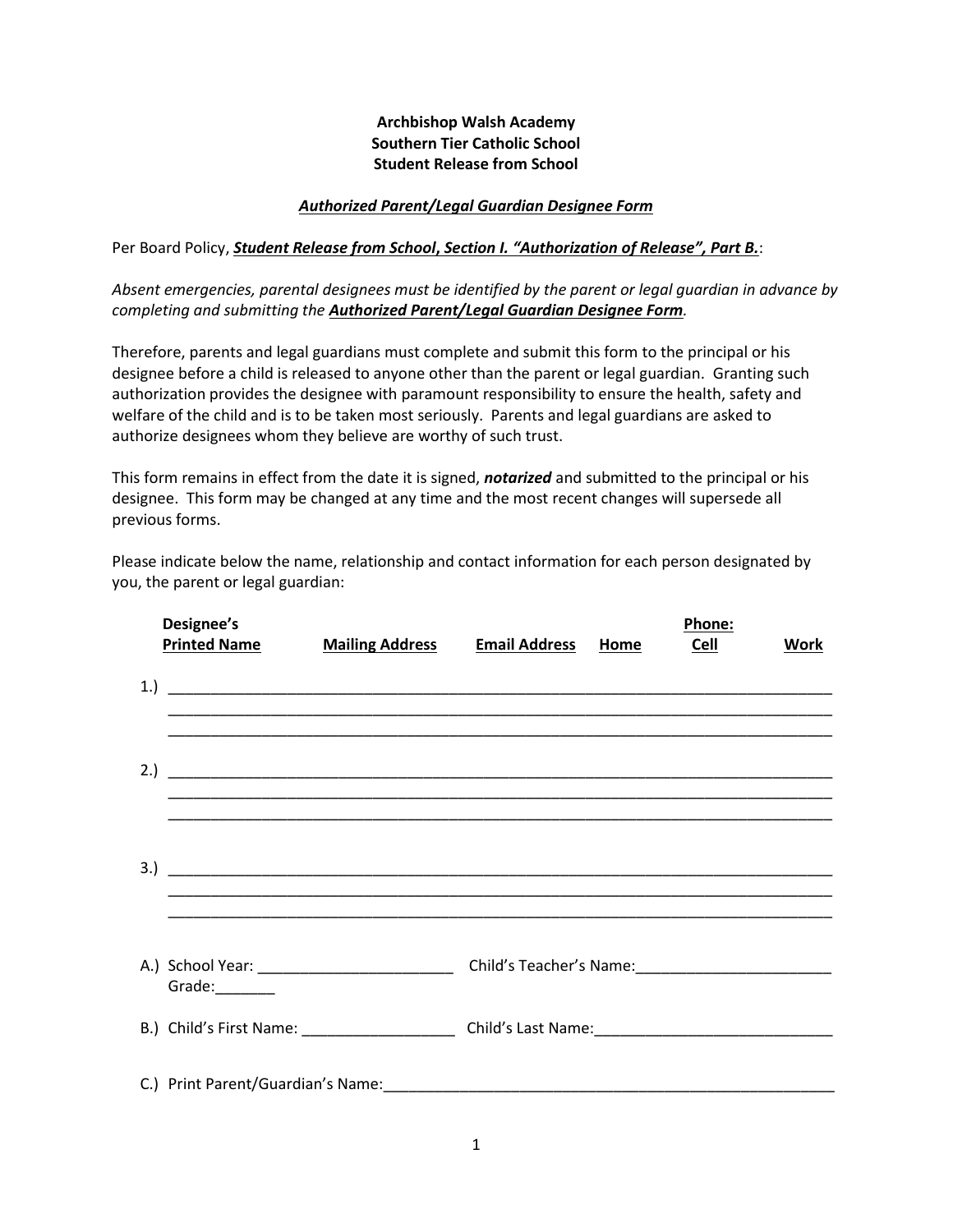## **Archbishop Walsh Academy Southern Tier Catholic School Student Release from School**

## *Authorized Parent/Legal Guardian Designee Form*

Per Board Policy, *Student Release from School***,** *Section I. "Authorization of Release", Part B.*:

*Absent emergencies, parental designees must be identified by the parent or legal guardian in advance by completing and submitting the Authorized Parent/Legal Guardian Designee Form.*

Therefore, parents and legal guardians must complete and submit this form to the principal or his designee before a child is released to anyone other than the parent or legal guardian. Granting such authorization provides the designee with paramount responsibility to ensure the health, safety and welfare of the child and is to be taken most seriously. Parents and legal guardians are asked to authorize designees whom they believe are worthy of such trust.

This form remains in effect from the date it is signed, *notarized* and submitted to the principal or his designee. This form may be changed at any time and the most recent changes will supersede all previous forms.

Please indicate below the name, relationship and contact information for each person designated by you, the parent or legal guardian:

| Designee's<br><b>Printed Name</b> | <b>Mailing Address</b>                                                                               | <b>Email Address</b> | Home | Phone:<br><b>Cell</b> | Work |
|-----------------------------------|------------------------------------------------------------------------------------------------------|----------------------|------|-----------------------|------|
|                                   |                                                                                                      |                      |      |                       |      |
|                                   |                                                                                                      |                      |      |                       |      |
|                                   |                                                                                                      |                      |      |                       |      |
| Grade: 1988                       |                                                                                                      |                      |      |                       |      |
|                                   | B.) Child's First Name: _________________________ Child's Last Name: _______________________________ |                      |      |                       |      |
|                                   |                                                                                                      |                      |      |                       |      |